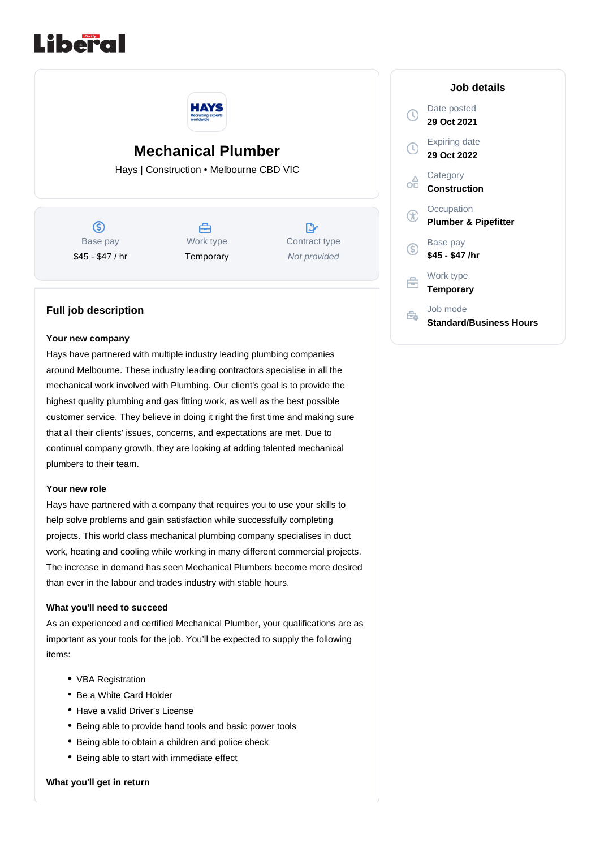



# **Mechanical Plumber**

Hays | Construction • Melbourne CBD VIC

 $\circledS$ Base pay \$45 - \$47 / hr



 $\mathbb{R}^*$ Contract type Not provided

# **Full job description**

#### **Your new company**

Hays have partnered with multiple industry leading plumbing companies around Melbourne. These industry leading contractors specialise in all the mechanical work involved with Plumbing. Our client's goal is to provide the highest quality plumbing and gas fitting work, as well as the best possible customer service. They believe in doing it right the first time and making sure that all their clients' issues, concerns, and expectations are met. Due to continual company growth, they are looking at adding talented mechanical plumbers to their team.

## **Your new role**

Hays have partnered with a company that requires you to use your skills to help solve problems and gain satisfaction while successfully completing projects. This world class mechanical plumbing company specialises in duct work, heating and cooling while working in many different commercial projects. The increase in demand has seen Mechanical Plumbers become more desired than ever in the labour and trades industry with stable hours.

### **What you'll need to succeed**

As an experienced and certified Mechanical Plumber, your qualifications are as important as your tools for the job. You'll be expected to supply the following items:

- VBA Registration
- Be a White Card Holder
- Have a valid Driver's License
- Being able to provide hand tools and basic power tools
- Being able to obtain a children and police check
- Being able to start with immediate effect

### **What you'll get in return**

|   | Job details                                   |
|---|-----------------------------------------------|
|   | Date posted<br>29 Oct 2021                    |
|   | Expiring date<br>29 Oct 2022                  |
|   | Category<br><b>Construction</b>               |
|   | Occupation<br><b>Plumber &amp; Pipefitter</b> |
| S | Base pay<br>\$45 - \$47 /hr                   |
|   | Work type<br><b>Temporary</b>                 |
|   | Job mode<br><b>Standard/Business Hours</b>    |